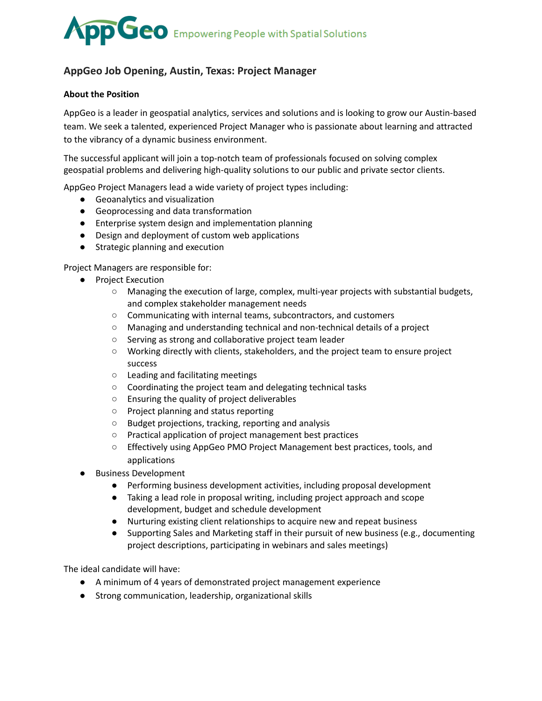## **OD** GeO Empowering People with Spatial Solutions

### **AppGeo Job Opening, Austin, Texas: Project Manager**

#### **About the Position**

AppGeo is a leader in geospatial analytics, services and solutions and is looking to grow our Austin-based team. We seek a talented, experienced Project Manager who is passionate about learning and attracted to the vibrancy of a dynamic business environment.

The successful applicant will join a top-notch team of professionals focused on solving complex geospatial problems and delivering high-quality solutions to our public and private sector clients.

AppGeo Project Managers lead a wide variety of project types including:

- Geoanalytics and visualization
- Geoprocessing and data transformation
- Enterprise system design and implementation planning
- Design and deployment of custom web applications
- Strategic planning and execution

Project Managers are responsible for:

- Project Execution
	- Managing the execution of large, complex, multi-year projects with substantial budgets, and complex stakeholder management needs
	- Communicating with internal teams, subcontractors, and customers
	- Managing and understanding technical and non-technical details of a project
	- Serving as strong and collaborative project team leader
	- Working directly with clients, stakeholders, and the project team to ensure project success
	- Leading and facilitating meetings
	- Coordinating the project team and delegating technical tasks
	- Ensuring the quality of project deliverables
	- Project planning and status reporting
	- Budget projections, tracking, reporting and analysis
	- Practical application of project management best practices
	- Effectively using AppGeo PMO Project Management best practices, tools, and applications
- **Business Development** 
	- Performing business development activities, including proposal development
	- Taking a lead role in proposal writing, including project approach and scope development, budget and schedule development
	- Nurturing existing client relationships to acquire new and repeat business
	- Supporting Sales and Marketing staff in their pursuit of new business (e.g., documenting project descriptions, participating in webinars and sales meetings)

The ideal candidate will have:

- A minimum of 4 years of demonstrated project management experience
- Strong communication, leadership, organizational skills